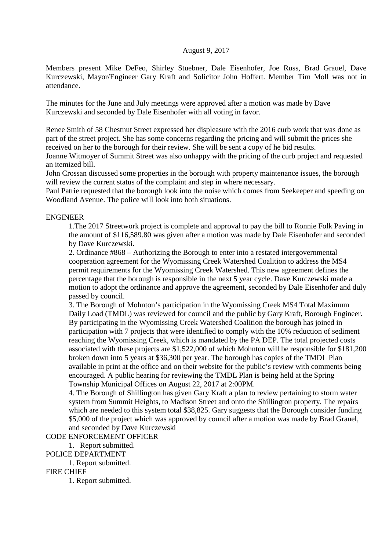## August 9, 2017

Members present Mike DeFeo, Shirley Stuebner, Dale Eisenhofer, Joe Russ, Brad Grauel, Dave Kurczewski, Mayor/Engineer Gary Kraft and Solicitor John Hoffert. Member Tim Moll was not in attendance.

The minutes for the June and July meetings were approved after a motion was made by Dave Kurczewski and seconded by Dale Eisenhofer with all voting in favor.

Renee Smith of 58 Chestnut Street expressed her displeasure with the 2016 curb work that was done as part of the street project. She has some concerns regarding the pricing and will submit the prices she received on her to the borough for their review. She will be sent a copy of he bid results.

Joanne Witmoyer of Summit Street was also unhappy with the pricing of the curb project and requested an itemized bill.

John Crossan discussed some properties in the borough with property maintenance issues, the borough will review the current status of the complaint and step in where necessary.

Paul Patrie requested that the borough look into the noise which comes from Seekeeper and speeding on Woodland Avenue. The police will look into both situations.

#### ENGINEER

1.The 2017 Streetwork project is complete and approval to pay the bill to Ronnie Folk Paving in the amount of \$116,589.80 was given after a motion was made by Dale Eisenhofer and seconded by Dave Kurczewski.

2. Ordinance #868 – Authorizing the Borough to enter into a restated intergovernmental cooperation agreement for the Wyomissing Creek Watershed Coalition to address the MS4 permit requirements for the Wyomissing Creek Watershed. This new agreement defines the percentage that the borough is responsible in the next 5 year cycle. Dave Kurczewski made a motion to adopt the ordinance and approve the agreement, seconded by Dale Eisenhofer and duly passed by council.

3. The Borough of Mohnton's participation in the Wyomissing Creek MS4 Total Maximum Daily Load (TMDL) was reviewed for council and the public by Gary Kraft, Borough Engineer. By participating in the Wyomissing Creek Watershed Coalition the borough has joined in participation with 7 projects that were identified to comply with the 10% reduction of sediment reaching the Wyomissing Creek, which is mandated by the PA DEP. The total projected costs associated with these projects are \$1,522,000 of which Mohnton will be responsible for \$181,200 broken down into 5 years at \$36,300 per year. The borough has copies of the TMDL Plan available in print at the office and on their website for the public's review with comments being encouraged. A public hearing for reviewing the TMDL Plan is being held at the Spring Township Municipal Offices on August 22, 2017 at 2:00PM.

4. The Borough of Shillington has given Gary Kraft a plan to review pertaining to storm water system from Summit Heights, to Madison Street and onto the Shillington property. The repairs which are needed to this system total \$38,825. Gary suggests that the Borough consider funding \$5,000 of the project which was approved by council after a motion was made by Brad Grauel, and seconded by Dave Kurczewski

CODE ENFORCEMENT OFFICER

1. Report submitted.

POLICE DEPARTMENT

1. Report submitted.

FIRE CHIEF

1. Report submitted.